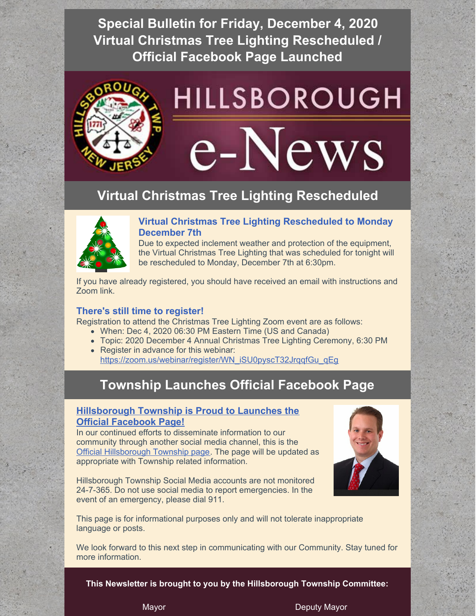**Special Bulletin for Friday, December 4, 2020 Virtual Christmas Tree Lighting Rescheduled / Official Facebook Page Launched**



## **Virtual Christmas Tree Lighting Rescheduled**



### **Virtual Christmas Tree Lighting Rescheduled to Monday December 7th**

Due to expected inclement weather and protection of the equipment, the Virtual Christmas Tree Lighting that was scheduled for tonight will be rescheduled to Monday, December 7th at 6:30pm.

If you have already registered, you should have received an email with instructions and Zoom link.

#### **There's still time to register!**

Registration to attend the Christmas Tree Lighting Zoom event are as follows:

- When: Dec 4, 2020 06:30 PM Eastern Time (US and Canada)
- Topic: 2020 December 4 Annual Christmas Tree Lighting Ceremony, 6:30 PM
- Register in advance for this webinar: [https://zoom.us/webinar/register/WN\\_iSU0pyscT32JrqqfGu\\_qEg](https://zoom.us/webinar/register/WN_iSU0pyscT32JrqqfGu_qEg)

# **Township Launches Official Facebook Page**

#### **[Hillsborough](https://www.facebook.com/HillsboroughTwp) Township is Proud to Launches the Official Facebook Page!**

In our continued efforts to disseminate information to our community through another social media channel, this is the Official [Hillsborough](https://www.facebook.com/HillsboroughTwp) Township page. The page will be updated as appropriate with Township related information.

Hillsborough Township Social Media accounts are not monitored 24-7-365. Do not use social media to report emergencies. In the event of an emergency, please dial 911.



This page is for informational purposes only and will not tolerate inappropriate language or posts.

We look forward to this next step in communicating with our Community. Stay tuned for more information.

**This Newsletter is brought to you by the Hillsborough Township Committee:**

Mayor **Deputy Mayor** Deputy Mayor